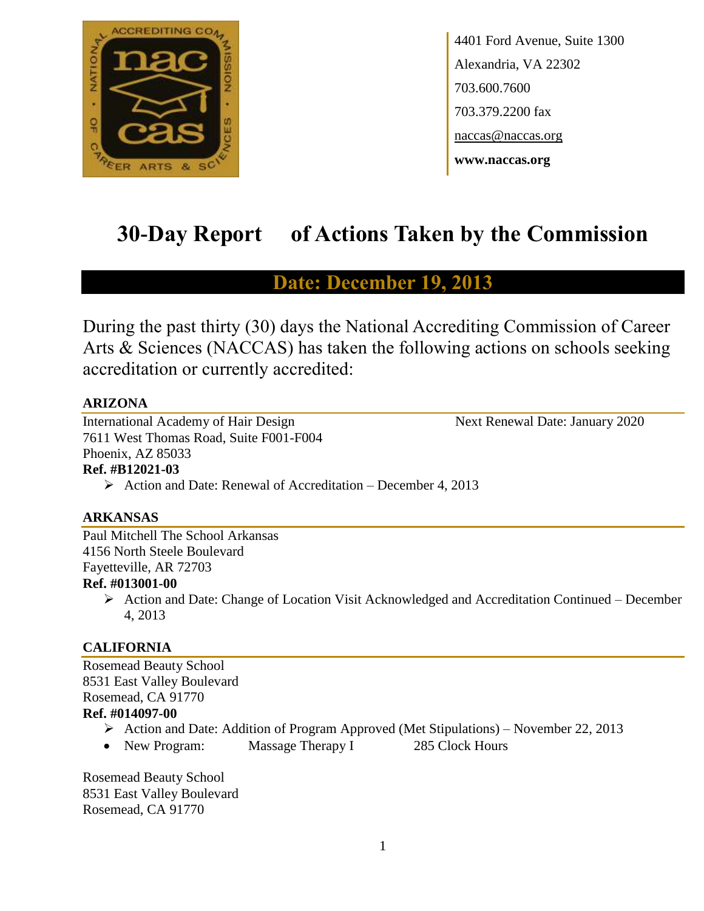

4401 Ford Avenue, Suite 1300 Alexandria, VA 22302 703.600.7600 703.379.2200 fax naccas@naccas.org **www.naccas.org**

# **30-Day Report of Actions Taken by the Commission**

# **Date: December 19, 2013**

During the past thirty (30) days the National Accrediting Commission of Career Arts & Sciences (NACCAS) has taken the following actions on schools seeking accreditation or currently accredited:

### **ARIZONA**

International Academy of Hair Design Next Renewal Date: January 2020 7611 West Thomas Road, Suite F001-F004 Phoenix, AZ 85033 **Ref. #B12021-03**

 $\triangleright$  Action and Date: Renewal of Accreditation – December 4, 2013

### **ARKANSAS**

Paul Mitchell The School Arkansas 4156 North Steele Boulevard Fayetteville, AR 72703

### **Ref. #013001-00**

 $\triangleright$  Action and Date: Change of Location Visit Acknowledged and Accreditation Continued – December 4, 2013

### **CALIFORNIA**

Rosemead Beauty School 8531 East Valley Boulevard Rosemead, CA 91770 **Ref. #014097-00**

- $\triangleright$  Action and Date: Addition of Program Approved (Met Stipulations) November 22, 2013
- New Program: Massage Therapy I 285 Clock Hours

Rosemead Beauty School 8531 East Valley Boulevard Rosemead, CA 91770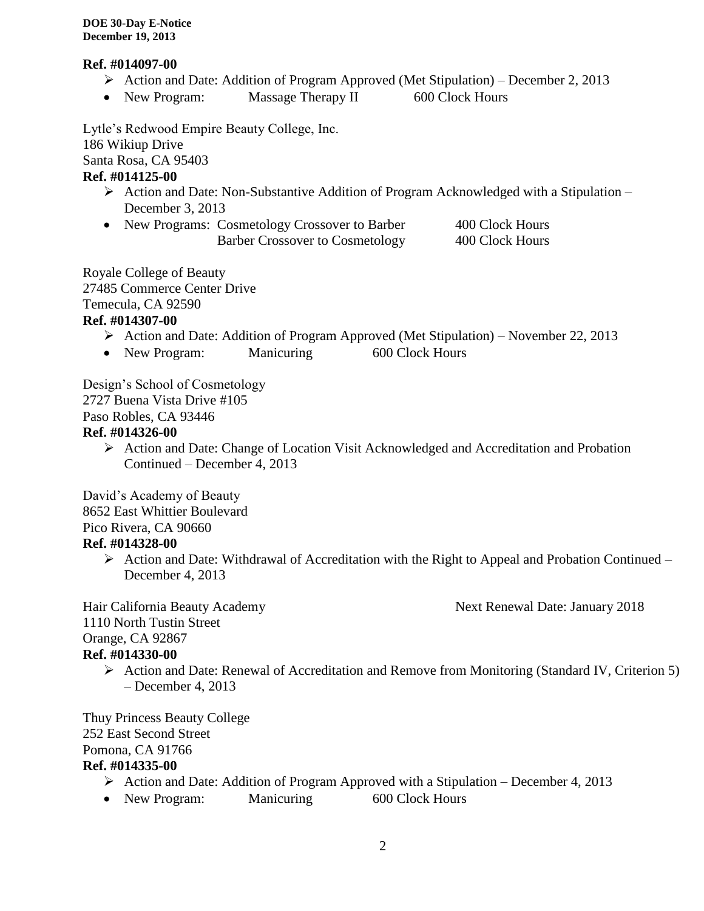### **Ref. #014097-00**

- Action and Date: Addition of Program Approved (Met Stipulation) December 2, 2013
- New Program: Massage Therapy II 600 Clock Hours

Lytle's Redwood Empire Beauty College, Inc. 186 Wikiup Drive Santa Rosa, CA 95403 **Ref. #014125-00**

- $\triangleright$  Action and Date: Non-Substantive Addition of Program Acknowledged with a Stipulation December 3, 2013
- New Programs: Cosmetology Crossover to Barber 400 Clock Hours Barber Crossover to Cosmetology 400 Clock Hours

Royale College of Beauty 27485 Commerce Center Drive Temecula, CA 92590

### **Ref. #014307-00**

- $\triangleright$  Action and Date: Addition of Program Approved (Met Stipulation) November 22, 2013
- New Program: Manicuring 600 Clock Hours

Design's School of Cosmetology

2727 Buena Vista Drive #105

Paso Robles, CA 93446

### **Ref. #014326-00**

Action and Date: Change of Location Visit Acknowledged and Accreditation and Probation Continued – December 4, 2013

David's Academy of Beauty 8652 East Whittier Boulevard Pico Rivera, CA 90660 **Ref. #014328-00**

> $\triangleright$  Action and Date: Withdrawal of Accreditation with the Right to Appeal and Probation Continued – December 4, 2013

Hair California Beauty Academy **Next Renewal Date: January 2018** 1110 North Tustin Street Orange, CA 92867 **Ref. #014330-00**

 Action and Date: Renewal of Accreditation and Remove from Monitoring (Standard IV, Criterion 5) – December 4, 2013

Thuy Princess Beauty College 252 East Second Street Pomona, CA 91766 **Ref. #014335-00**

- $\triangleright$  Action and Date: Addition of Program Approved with a Stipulation December 4, 2013
- New Program: Manicuring 600 Clock Hours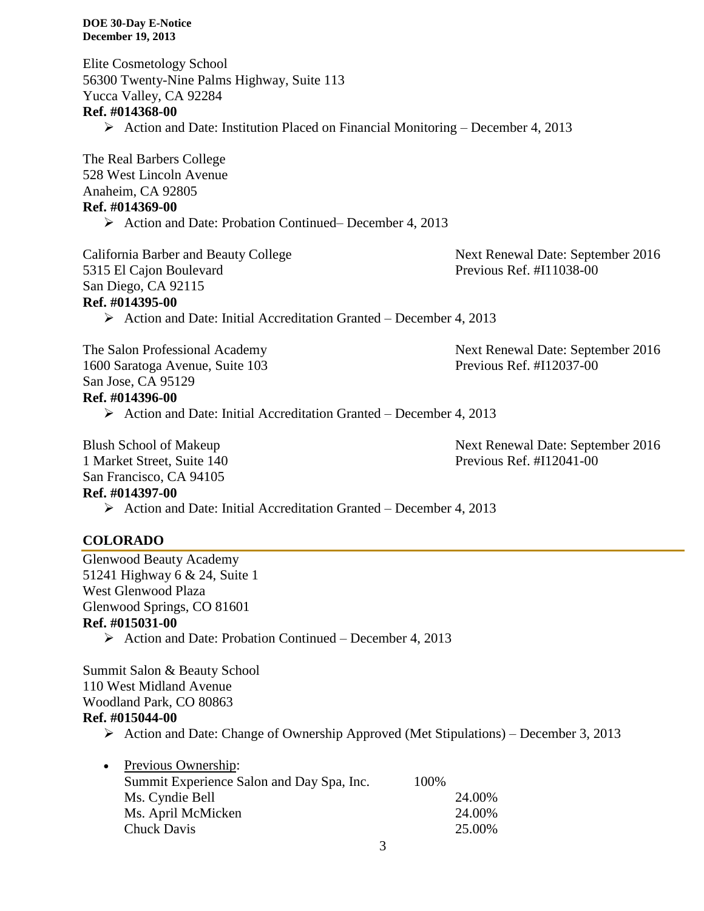Elite Cosmetology School 56300 Twenty-Nine Palms Highway, Suite 113 Yucca Valley, CA 92284 **Ref. #014368-00**  $\triangleright$  Action and Date: Institution Placed on Financial Monitoring – December 4, 2013

The Real Barbers College 528 West Lincoln Avenue Anaheim, CA 92805 **Ref. #014369-00**

▶ Action and Date: Probation Continued– December 4, 2013

California Barber and Beauty College Next Renewal Date: September 2016 5315 El Cajon Boulevard Previous Ref. #I11038-00 San Diego, CA 92115 **Ref. #014395-00**

 $\triangleright$  Action and Date: Initial Accreditation Granted – December 4, 2013

The Salon Professional Academy Next Renewal Date: September 2016 1600 Saratoga Avenue, Suite 103 Previous Ref. #I12037-00 San Jose, CA 95129 **Ref. #014396-00**

 $\triangleright$  Action and Date: Initial Accreditation Granted – December 4, 2013

1 Market Street, Suite 140 Previous Ref. #I12041-00 San Francisco, CA 94105

Blush School of Makeup Next Renewal Date: September 2016

### **Ref. #014397-00**

 $\triangleright$  Action and Date: Initial Accreditation Granted – December 4, 2013

### **COLORADO**

Glenwood Beauty Academy 51241 Highway 6 & 24, Suite 1 West Glenwood Plaza Glenwood Springs, CO 81601 **Ref. #015031-00**

 $\triangleright$  Action and Date: Probation Continued – December 4, 2013

Summit Salon & Beauty School 110 West Midland Avenue Woodland Park, CO 80863

### **Ref. #015044-00**

 $\triangleright$  Action and Date: Change of Ownership Approved (Met Stipulations) – December 3, 2013

| 24.00% |
|--------|
| 24.00% |
| 25.00% |
|        |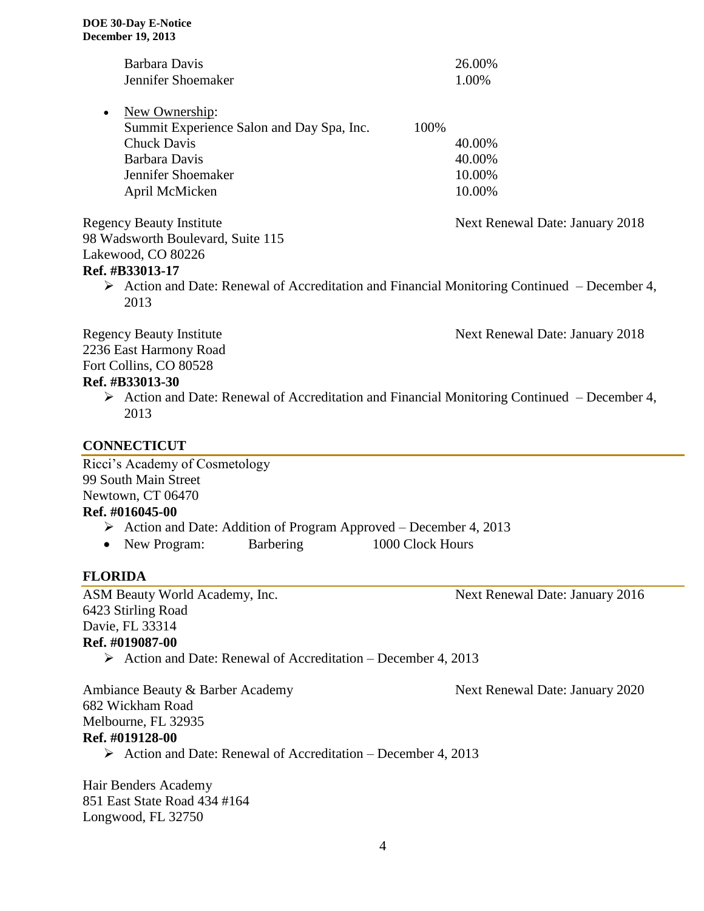| Barbara Davis                                                                                   | 26.00%                          |
|-------------------------------------------------------------------------------------------------|---------------------------------|
| Jennifer Shoemaker                                                                              | 1.00%                           |
| New Ownership:                                                                                  |                                 |
| Summit Experience Salon and Day Spa, Inc.                                                       | 100%                            |
| <b>Chuck Davis</b>                                                                              | 40.00%                          |
| Barbara Davis                                                                                   | 40.00%                          |
| Jennifer Shoemaker                                                                              | 10.00%                          |
| April McMicken                                                                                  | 10.00%                          |
| <b>Regency Beauty Institute</b>                                                                 | Next Renewal Date: January 2018 |
| 98 Wadsworth Boulevard, Suite 115                                                               |                                 |
| Lakewood, CO 80226                                                                              |                                 |
| <b>Ref. #B33013-17</b>                                                                          |                                 |
| Action and Date: Renewal of Accreditation and Financial Monitoring Continued – December 4,<br>➤ |                                 |
| 2013                                                                                            |                                 |
| <b>Regency Beauty Institute</b>                                                                 | Next Renewal Date: January 2018 |
| 2236 East Harmony Road                                                                          |                                 |
| Fort Collins, CO 80528                                                                          |                                 |

### **Ref. #B33013-30**

 $\triangleright$  Action and Date: Renewal of Accreditation and Financial Monitoring Continued – December 4, 2013

### **CONNECTICUT**

Ricci's Academy of Cosmetology 99 South Main Street Newtown, CT 06470

### **Ref. #016045-00**

- Action and Date: Addition of Program Approved December 4, 2013
- New Program: Barbering 1000 Clock Hours

### **FLORIDA**

ASM Beauty World Academy, Inc. Next Renewal Date: January 2016 6423 Stirling Road Davie, FL 33314 **Ref. #019087-00**

Action and Date: Renewal of Accreditation – December 4, 2013

Ambiance Beauty & Barber Academy Next Renewal Date: January 2020 682 Wickham Road Melbourne, FL 32935 **Ref. #019128-00**

 $\triangleright$  Action and Date: Renewal of Accreditation – December 4, 2013

Hair Benders Academy 851 East State Road 434 #164 Longwood, FL 32750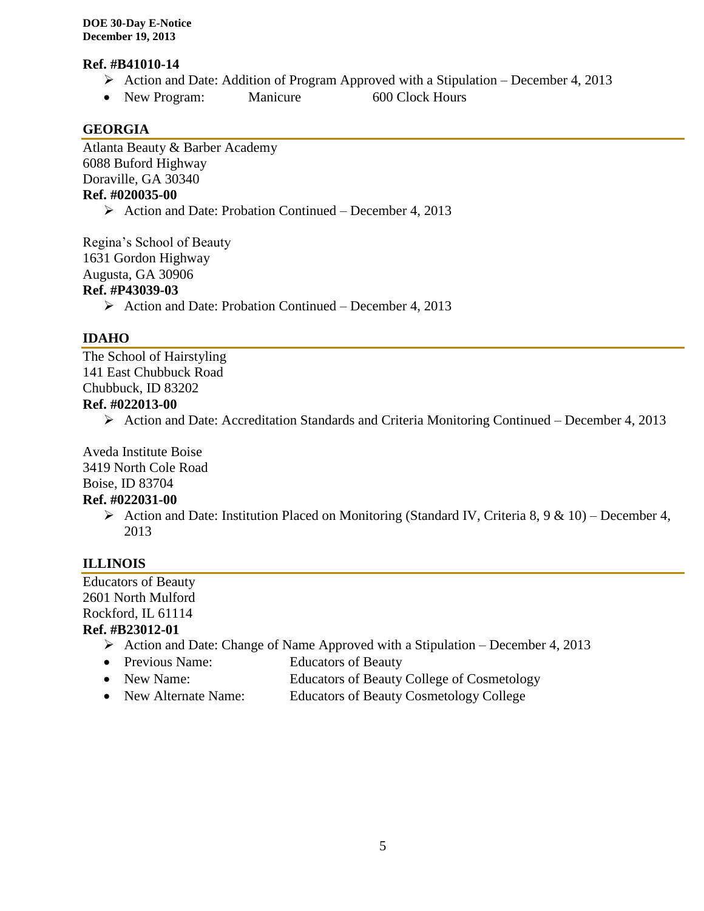### **Ref. #B41010-14**

- $\triangleright$  Action and Date: Addition of Program Approved with a Stipulation December 4, 2013
- New Program: Manicure 600 Clock Hours

### **GEORGIA**

Atlanta Beauty & Barber Academy 6088 Buford Highway Doraville, GA 30340 **Ref. #020035-00**

 $\triangleright$  Action and Date: Probation Continued – December 4, 2013

Regina's School of Beauty 1631 Gordon Highway Augusta, GA 30906 **Ref. #P43039-03**

 $\triangleright$  Action and Date: Probation Continued – December 4, 2013

### **IDAHO**

The School of Hairstyling 141 East Chubbuck Road Chubbuck, ID 83202 **Ref. #022013-00**

# $\triangleright$  Action and Date: Accreditation Standards and Criteria Monitoring Continued – December 4, 2013

Aveda Institute Boise 3419 North Cole Road Boise, ID 83704

### **Ref. #022031-00**

Action and Date: Institution Placed on Monitoring (Standard IV, Criteria 8, 9 & 10) – December 4, 2013

## **ILLINOIS**

Educators of Beauty 2601 North Mulford Rockford, IL 61114 **Ref. #B23012-01**

- $\triangleright$  Action and Date: Change of Name Approved with a Stipulation December 4, 2013
	- Previous Name: Educators of Beauty
	- New Name: Educators of Beauty College of Cosmetology
	- New Alternate Name: Educators of Beauty Cosmetology College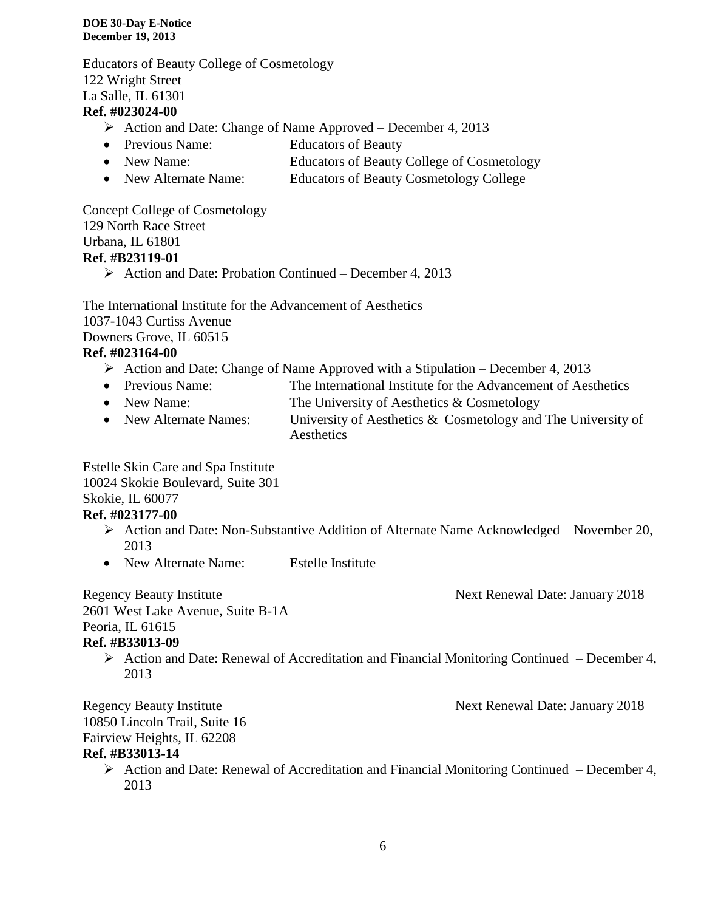Educators of Beauty College of Cosmetology 122 Wright Street La Salle, IL 61301

### **Ref. #023024-00**

- Action and Date: Change of Name Approved December 4, 2013
- Previous Name: Educators of Beauty
- New Name: Educators of Beauty College of Cosmetology
- New Alternate Name: Educators of Beauty Cosmetology College

Concept College of Cosmetology 129 North Race Street Urbana, IL 61801 **Ref. #B23119-01**

 $\triangleright$  Action and Date: Probation Continued – December 4, 2013

The International Institute for the Advancement of Aesthetics 1037-1043 Curtiss Avenue Downers Grove, IL 60515

### **Ref. #023164-00**

- Action and Date: Change of Name Approved with a Stipulation December 4, 2013
- Previous Name: The International Institute for the Advancement of Aesthetics
- New Name: The University of Aesthetics & Cosmetology
- New Alternate Names: University of Aesthetics & Cosmetology and The University of **Aesthetics**

Estelle Skin Care and Spa Institute

10024 Skokie Boulevard, Suite 301

Skokie, IL 60077

### **Ref. #023177-00**

- $\triangleright$  Action and Date: Non-Substantive Addition of Alternate Name Acknowledged November 20, 2013
- New Alternate Name: Estelle Institute

Regency Beauty Institute Next Renewal Date: January 2018 2601 West Lake Avenue, Suite B-1A Peoria, IL 61615 **Ref. #B33013-09**

 $\triangleright$  Action and Date: Renewal of Accreditation and Financial Monitoring Continued – December 4, 2013

Regency Beauty Institute Next Renewal Date: January 2018 10850 Lincoln Trail, Suite 16 Fairview Heights, IL 62208 **Ref. #B33013-14**

 $\triangleright$  Action and Date: Renewal of Accreditation and Financial Monitoring Continued – December 4, 2013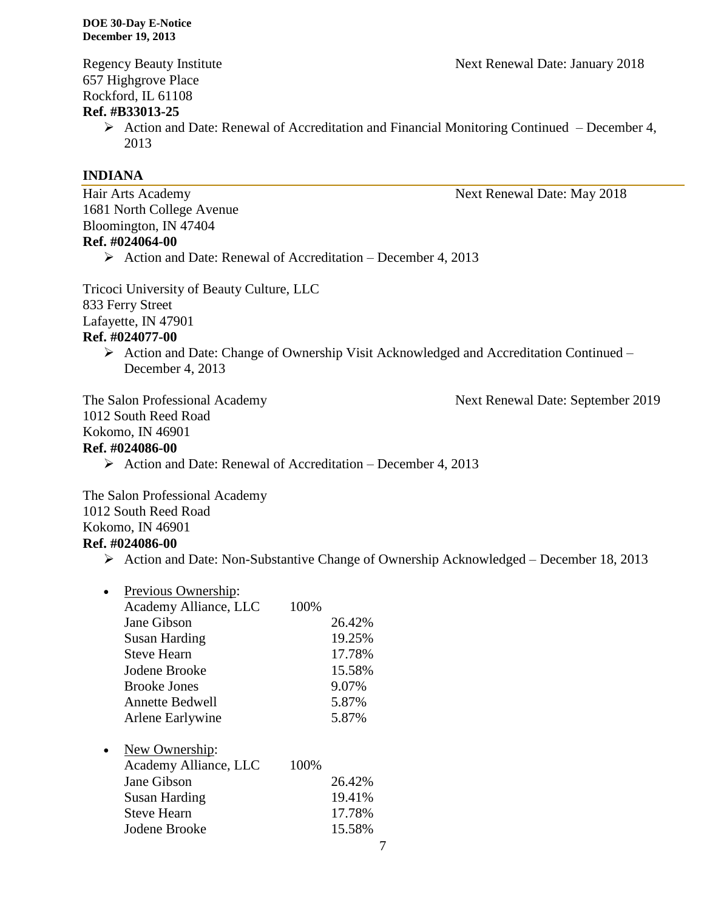657 Highgrove Place Rockford, IL 61108

### **Ref. #B33013-25**

 $\triangleright$  Action and Date: Renewal of Accreditation and Financial Monitoring Continued – December 4, 2013

### **INDIANA**

Hair Arts Academy Next Renewal Date: May 2018 1681 North College Avenue Bloomington, IN 47404 **Ref. #024064-00**  $\triangleright$  Action and Date: Renewal of Accreditation – December 4, 2013

Tricoci University of Beauty Culture, LLC 833 Ferry Street Lafayette, IN 47901 **Ref. #024077-00**

 Action and Date: Change of Ownership Visit Acknowledged and Accreditation Continued – December 4, 2013

The Salon Professional Academy Next Renewal Date: September 2019 1012 South Reed Road Kokomo, IN 46901 **Ref. #024086-00**

 $\triangleright$  Action and Date: Renewal of Accreditation – December 4, 2013

The Salon Professional Academy 1012 South Reed Road Kokomo, IN 46901 **Ref. #024086-00**

 $\triangleright$  Action and Date: Non-Substantive Change of Ownership Acknowledged – December 18, 2013

| Previous Ownership:    |      |        |
|------------------------|------|--------|
| Academy Alliance, LLC  | 100% |        |
| Jane Gibson            |      | 26.42% |
| <b>Susan Harding</b>   |      | 19.25% |
| <b>Steve Hearn</b>     |      | 17.78% |
| Jodene Brooke          |      | 15.58% |
| <b>Brooke Jones</b>    |      | 9.07%  |
| <b>Annette Bedwell</b> |      | 5.87%  |
| Arlene Earlywine       |      | 5.87%  |
| New Ownership:         |      |        |
| Academy Alliance, LLC  | 100% |        |
| Jane Gibson            |      | 26.42% |
| Susan Harding          |      | 19.41% |
| Steve Hearn            |      | 17.78% |

Jodene Brooke 15.58%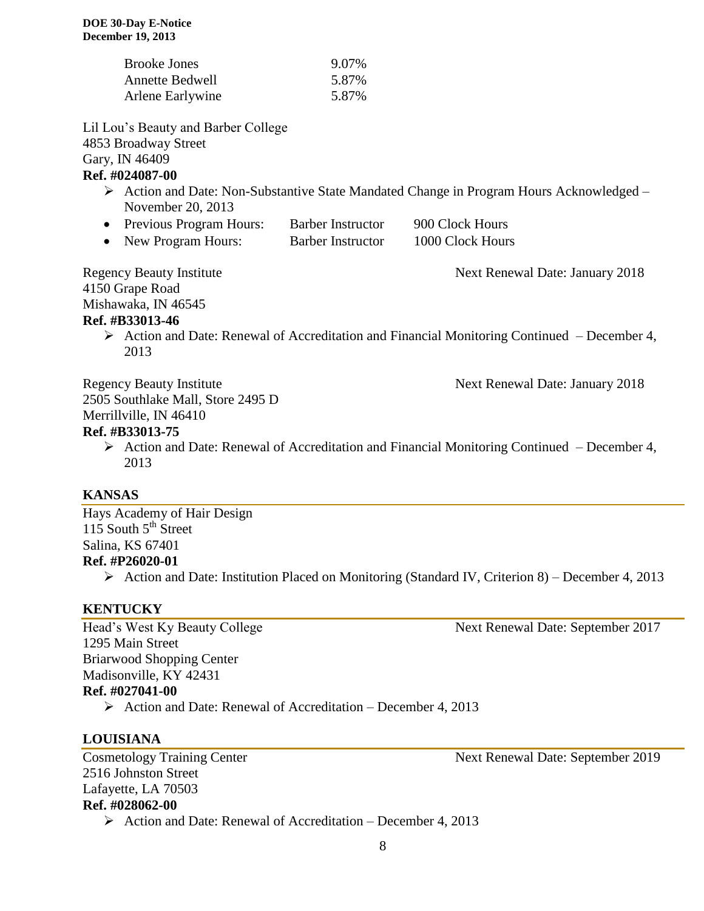| <b>Brooke Jones</b>    | 9.07% |
|------------------------|-------|
| <b>Annette Bedwell</b> | 5.87% |
| Arlene Earlywine       | 5.87% |

Lil Lou's Beauty and Barber College 4853 Broadway Street Gary, IN 46409

### **Ref. #024087-00**

- Action and Date: Non-Substantive State Mandated Change in Program Hours Acknowledged November 20, 2013
- Previous Program Hours: Barber Instructor 900 Clock Hours
- New Program Hours: Barber Instructor 1000 Clock Hours

4150 Grape Road

Regency Beauty Institute Next Renewal Date: January 2018

Mishawaka, IN 46545

### **Ref. #B33013-46**

 $\triangleright$  Action and Date: Renewal of Accreditation and Financial Monitoring Continued – December 4, 2013

Regency Beauty Institute Next Renewal Date: January 2018

2505 Southlake Mall, Store 2495 D

Merrillville, IN 46410

### **Ref. #B33013-75**

 $\triangleright$  Action and Date: Renewal of Accreditation and Financial Monitoring Continued – December 4, 2013

### **KANSAS**

Hays Academy of Hair Design 115 South  $5^{th}$  Street Salina, KS 67401 **Ref. #P26020-01**

 $\triangleright$  Action and Date: Institution Placed on Monitoring (Standard IV, Criterion 8) – December 4, 2013

### **KENTUCKY**

1295 Main Street Briarwood Shopping Center Madisonville, KY 42431 **Ref. #027041-00**

 $\triangleright$  Action and Date: Renewal of Accreditation – December 4, 2013

### **LOUISIANA**

Cosmetology Training Center Next Renewal Date: September 2019 2516 Johnston Street Lafayette, LA 70503 **Ref. #028062-00**

 $\triangleright$  Action and Date: Renewal of Accreditation – December 4, 2013

Head's West Ky Beauty College Next Renewal Date: September 2017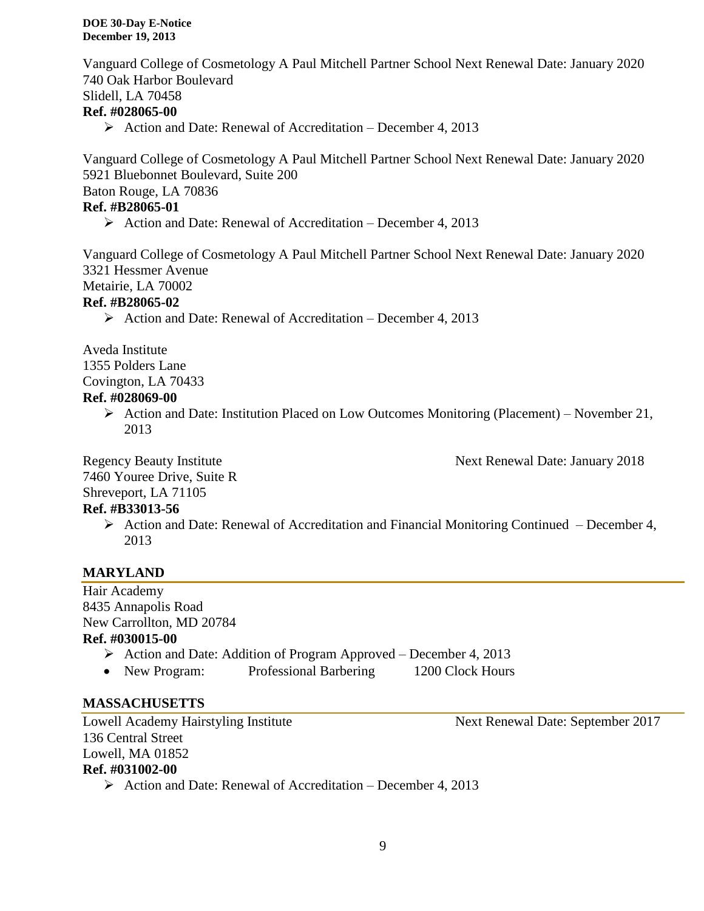Vanguard College of Cosmetology A Paul Mitchell Partner School Next Renewal Date: January 2020 740 Oak Harbor Boulevard Slidell, LA 70458 **Ref. #028065-00**

 $\triangleright$  Action and Date: Renewal of Accreditation – December 4, 2013

Vanguard College of Cosmetology A Paul Mitchell Partner School Next Renewal Date: January 2020 5921 Bluebonnet Boulevard, Suite 200 Baton Rouge, LA 70836 **Ref. #B28065-01**  $\triangleright$  Action and Date: Renewal of Accreditation – December 4, 2013

Vanguard College of Cosmetology A Paul Mitchell Partner School Next Renewal Date: January 2020 3321 Hessmer Avenue Metairie, LA 70002

### **Ref. #B28065-02**

 $\triangleright$  Action and Date: Renewal of Accreditation – December 4, 2013

Aveda Institute 1355 Polders Lane Covington, LA 70433

### **Ref. #028069-00**

Action and Date: Institution Placed on Low Outcomes Monitoring (Placement) – November 21, 2013

Regency Beauty Institute Next Renewal Date: January 2018

7460 Youree Drive, Suite R

Shreveport, LA 71105

### **Ref. #B33013-56**

 $\triangleright$  Action and Date: Renewal of Accreditation and Financial Monitoring Continued – December 4, 2013

### **MARYLAND**

Hair Academy 8435 Annapolis Road New Carrollton, MD 20784 **Ref. #030015-00**  $\triangleright$  Action and Date: Addition of Program Approved – December 4, 2013

• New Program: Professional Barbering 1200 Clock Hours

### **MASSACHUSETTS**

Lowell Academy Hairstyling Institute Next Renewal Date: September 2017 136 Central Street Lowell, MA 01852 **Ref. #031002-00**

 $\triangleright$  Action and Date: Renewal of Accreditation – December 4, 2013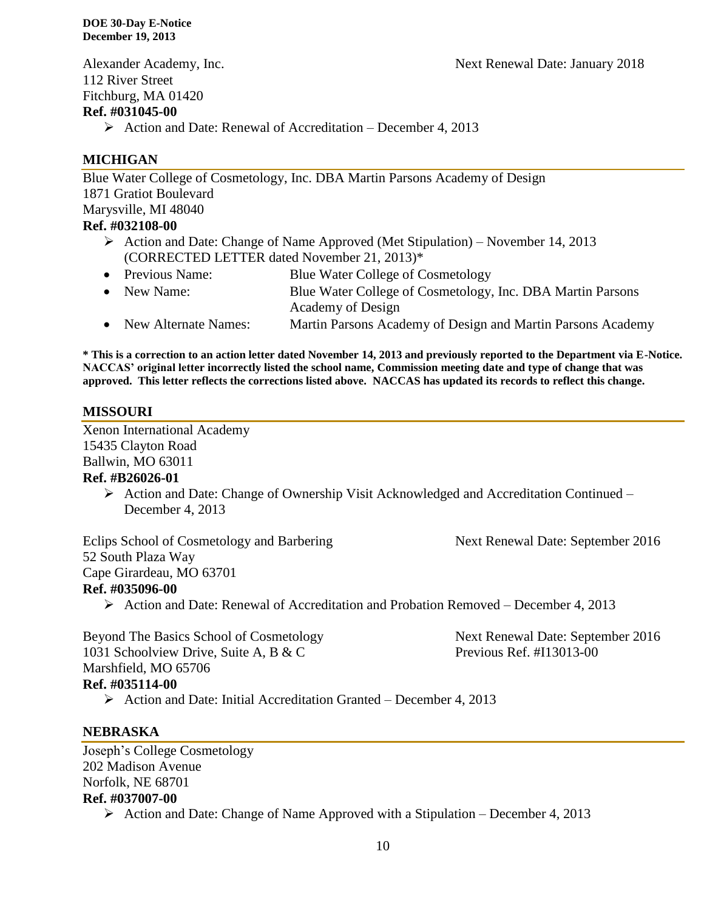Alexander Academy, Inc. Next Renewal Date: January 2018 112 River Street Fitchburg, MA 01420 **Ref. #031045-00**

 $\triangleright$  Action and Date: Renewal of Accreditation – December 4, 2013

### **MICHIGAN**

Blue Water College of Cosmetology, Inc. DBA Martin Parsons Academy of Design 1871 Gratiot Boulevard Marysville, MI 48040 **Ref. #032108-00** Action and Date: Change of Name Approved (Met Stipulation) – November 14, 2013 (CORRECTED LETTER dated November 21, 2013)\*

- Previous Name: Blue Water College of Cosmetology
- New Name: Blue Water College of Cosmetology, Inc. DBA Martin Parsons Academy of Design
- New Alternate Names: Martin Parsons Academy of Design and Martin Parsons Academy

**\* This is a correction to an action letter dated November 14, 2013 and previously reported to the Department via E-Notice. NACCAS' original letter incorrectly listed the school name, Commission meeting date and type of change that was approved. This letter reflects the corrections listed above. NACCAS has updated its records to reflect this change.** 

### **MISSOURI**

Xenon International Academy 15435 Clayton Road Ballwin, MO 63011 **Ref. #B26026-01**

> Action and Date: Change of Ownership Visit Acknowledged and Accreditation Continued – December 4, 2013

Eclips School of Cosmetology and Barbering Next Renewal Date: September 2016 52 South Plaza Way Cape Girardeau, MO 63701 **Ref. #035096-00**

Action and Date: Renewal of Accreditation and Probation Removed – December 4, 2013

Beyond The Basics School of Cosmetology Next Renewal Date: September 2016 1031 Schoolview Drive, Suite A, B & C Previous Ref. #I13013-00 Marshfield, MO 65706 **Ref. #035114-00**

 $\triangleright$  Action and Date: Initial Accreditation Granted – December 4, 2013

### **NEBRASKA**

Joseph's College Cosmetology 202 Madison Avenue Norfolk, NE 68701 **Ref. #037007-00**

 $\triangleright$  Action and Date: Change of Name Approved with a Stipulation – December 4, 2013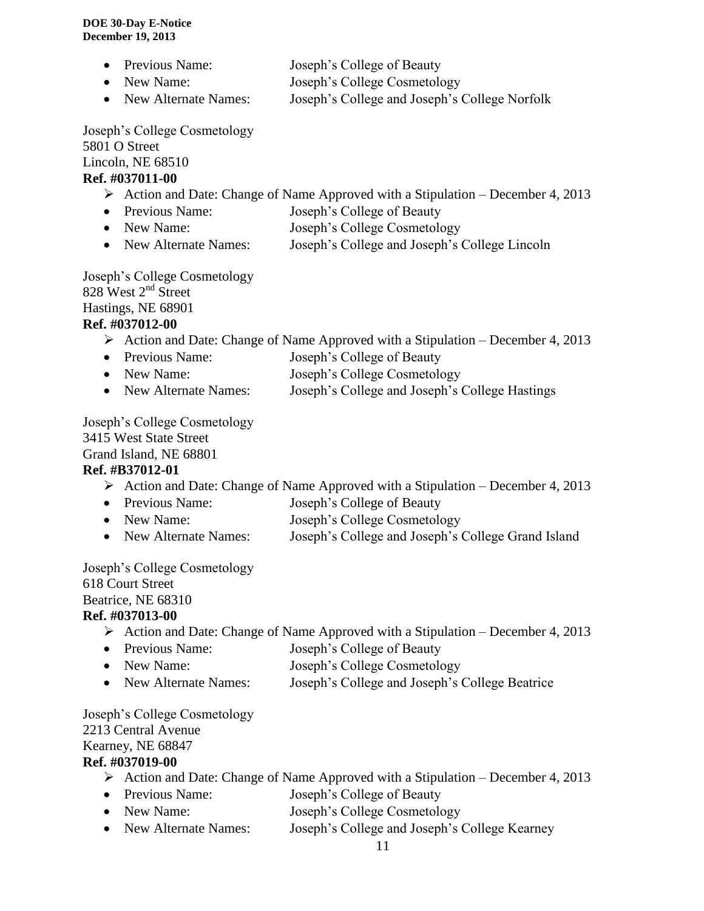- Previous Name: Joseph's College of Beauty
- New Name: Joseph's College Cosmetology
- New Alternate Names: Joseph's College and Joseph's College Norfolk

Joseph's College Cosmetology 5801 O Street Lincoln, NE 68510

### **Ref. #037011-00**

- $\triangleright$  Action and Date: Change of Name Approved with a Stipulation December 4, 2013
- Previous Name: Joseph's College of Beauty
- New Name: Joseph's College Cosmetology
- New Alternate Names: Joseph's College and Joseph's College Lincoln

Joseph's College Cosmetology 828 West 2<sup>nd</sup> Street Hastings, NE 68901

## **Ref. #037012-00**

- $\triangleright$  Action and Date: Change of Name Approved with a Stipulation December 4, 2013
- Previous Name: Joseph's College of Beauty
- New Name: Joseph's College Cosmetology
- New Alternate Names: Joseph's College and Joseph's College Hastings

Joseph's College Cosmetology

3415 West State Street

Grand Island, NE 68801

## **Ref. #B37012-01**

- Action and Date: Change of Name Approved with a Stipulation December 4, 2013
- Previous Name: Joseph's College of Beauty
- New Name: Joseph's College Cosmetology
- New Alternate Names: Joseph's College and Joseph's College Grand Island

Joseph's College Cosmetology

618 Court Street

# Beatrice, NE 68310

### **Ref. #037013-00**

- Action and Date: Change of Name Approved with a Stipulation December 4, 2013
- Previous Name: Joseph's College of Beauty
- New Name: Joseph's College Cosmetology
- New Alternate Names: Joseph's College and Joseph's College Beatrice

Joseph's College Cosmetology 2213 Central Avenue Kearney, NE 68847 **Ref. #037019-00**

- Action and Date: Change of Name Approved with a Stipulation December 4, 2013
- Previous Name: Joseph's College of Beauty
- New Name: Joseph's College Cosmetology
- New Alternate Names: Joseph's College and Joseph's College Kearney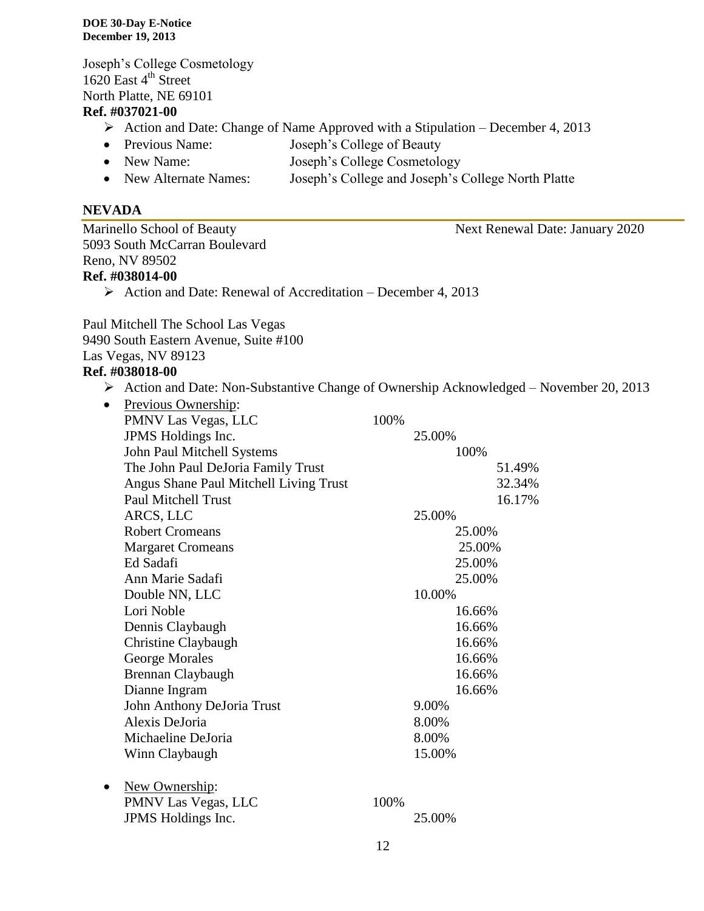Joseph's College Cosmetology  $1620$  East 4<sup>th</sup> Street North Platte, NE 69101

### **Ref. #037021-00**

- $\triangleright$  Action and Date: Change of Name Approved with a Stipulation December 4, 2013
- Previous Name: Joseph's College of Beauty
- New Name: Joseph's College Cosmetology
- New Alternate Names: Joseph's College and Joseph's College North Platte

### **NEVADA**

Marinello School of Beauty Next Renewal Date: January 2020 5093 South McCarran Boulevard Reno, NV 89502 **Ref. #038014-00**  $\triangleright$  Action and Date: Renewal of Accreditation – December 4, 2013

Paul Mitchell The School Las Vegas 9490 South Eastern Avenue, Suite #100 Las Vegas, NV 89123

### **Ref. #038018-00**

Action and Date: Non-Substantive Change of Ownership Acknowledged – November 20, 2013

| $\bullet$ | Previous Ownership:                    |      |        |
|-----------|----------------------------------------|------|--------|
|           | PMNV Las Vegas, LLC                    | 100% |        |
|           | JPMS Holdings Inc.                     |      | 25.00% |
|           | John Paul Mitchell Systems             |      | 100%   |
|           | The John Paul DeJoria Family Trust     |      | 51.49% |
|           | Angus Shane Paul Mitchell Living Trust |      | 32.34% |
|           | <b>Paul Mitchell Trust</b>             |      | 16.17% |
|           | ARCS, LLC                              |      | 25.00% |
|           | <b>Robert Cromeans</b>                 |      | 25.00% |
|           | <b>Margaret Cromeans</b>               |      | 25.00% |
|           | Ed Sadafi                              |      | 25.00% |
|           | Ann Marie Sadafi                       |      | 25.00% |
|           | Double NN, LLC                         |      | 10.00% |
|           | Lori Noble                             |      | 16.66% |
|           | Dennis Claybaugh                       |      | 16.66% |
|           | Christine Claybaugh                    |      | 16.66% |
|           | George Morales                         |      | 16.66% |
|           | Brennan Claybaugh                      |      | 16.66% |
|           | Dianne Ingram                          |      | 16.66% |
|           | John Anthony DeJoria Trust             |      | 9.00%  |
|           | Alexis DeJoria                         |      | 8.00%  |
|           | Michaeline DeJoria                     |      | 8.00%  |
|           | Winn Claybaugh                         |      | 15.00% |
|           |                                        |      |        |
| $\bullet$ | New Ownership:                         |      |        |
|           | PMNV Las Vegas, LLC                    | 100% |        |
|           | JPMS Holdings Inc.                     |      | 25.00% |
|           |                                        |      |        |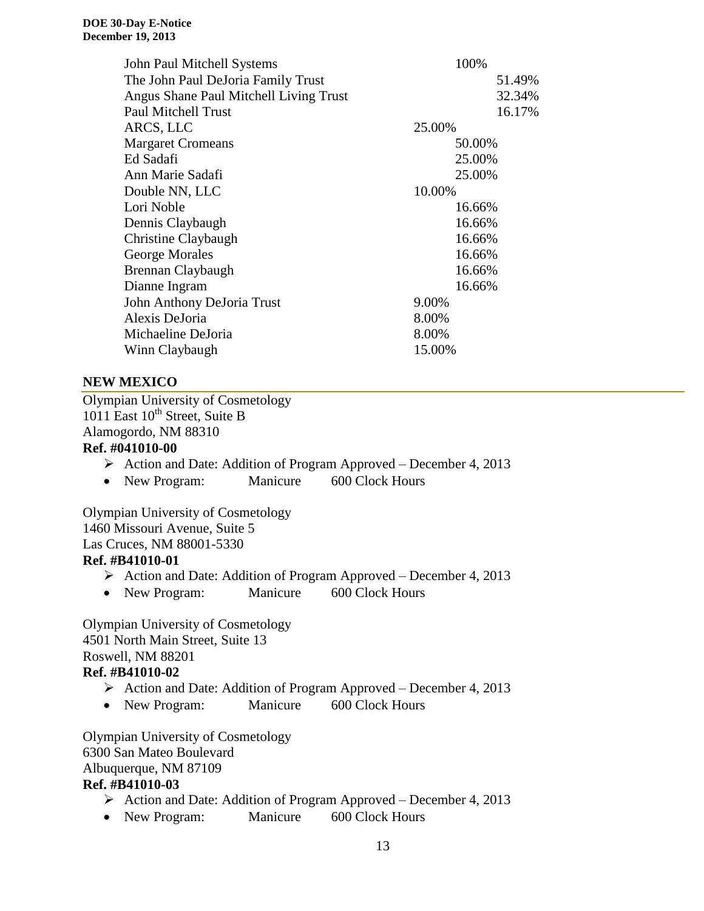| John Paul Mitchell Systems             | 100%   |
|----------------------------------------|--------|
| The John Paul DeJoria Family Trust     | 51.49% |
| Angus Shane Paul Mitchell Living Trust | 32.34% |
| <b>Paul Mitchell Trust</b>             | 16.17% |
| ARCS, LLC                              | 25.00% |
| <b>Margaret Cromeans</b>               | 50.00% |
| Ed Sadafi                              | 25.00% |
| Ann Marie Sadafi                       | 25.00% |
| Double NN, LLC                         | 10.00% |
| Lori Noble                             | 16.66% |
| Dennis Claybaugh                       | 16.66% |
| Christine Claybaugh                    | 16.66% |
| George Morales                         | 16.66% |
| Brennan Claybaugh                      | 16.66% |
| Dianne Ingram                          | 16.66% |
| John Anthony DeJoria Trust             | 9.00%  |
| Alexis DeJoria                         | 8.00%  |
| Michaeline DeJoria                     | 8.00%  |
| Winn Claybaugh                         | 15.00% |

### **NEW MEXICO**

Olympian University of Cosmetology 1011 East 10<sup>th</sup> Street, Suite B Alamogordo, NM 88310

### **Ref. #041010-00**

- $\triangleright$  Action and Date: Addition of Program Approved December 4, 2013
- New Program: Manicure 600 Clock Hours

Olympian University of Cosmetology 1460 Missouri Avenue, Suite 5 Las Cruces, NM 88001-5330 **Ref. #B41010-01**

- $\triangleright$  Action and Date: Addition of Program Approved December 4, 2013
- New Program: Manicure 600 Clock Hours

Olympian University of Cosmetology 4501 North Main Street, Suite 13 Roswell, NM 88201

### **Ref. #B41010-02**

- $\triangleright$  Action and Date: Addition of Program Approved December 4, 2013
- New Program: Manicure 600 Clock Hours

Olympian University of Cosmetology 6300 San Mateo Boulevard Albuquerque, NM 87109 **Ref. #B41010-03**

- $\triangleright$  Action and Date: Addition of Program Approved December 4, 2013
- New Program: Manicure 600 Clock Hours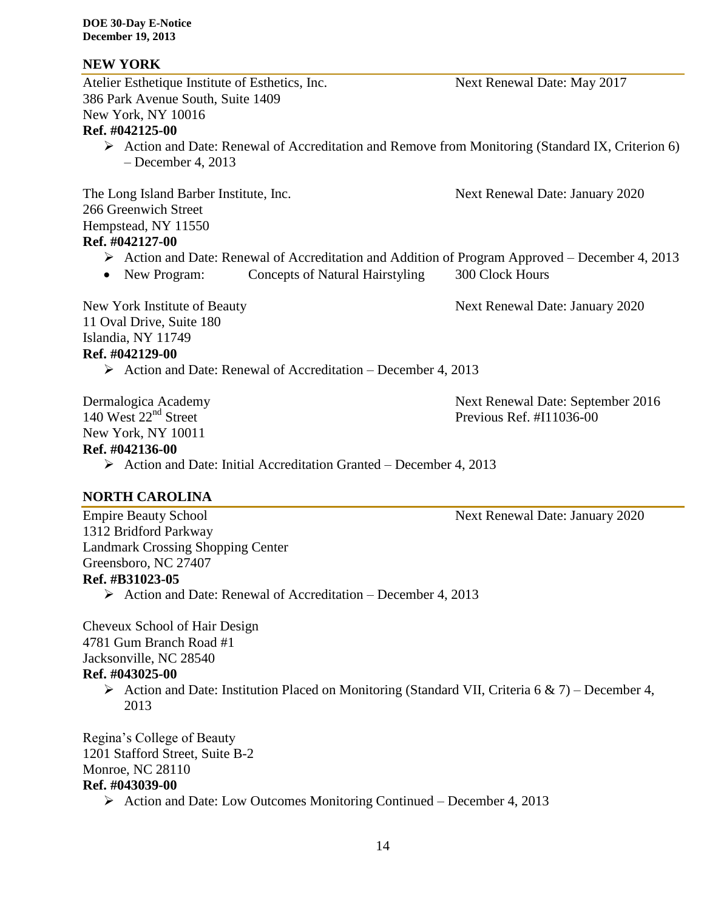### **NEW YORK**

Atelier Esthetique Institute of Esthetics, Inc. Next Renewal Date: May 2017 386 Park Avenue South, Suite 1409 New York, NY 10016 **Ref. #042125-00**  $\triangleright$  Action and Date: Renewal of Accreditation and Remove from Monitoring (Standard IX, Criterion 6) – December 4, 2013 The Long Island Barber Institute, Inc. Next Renewal Date: January 2020 266 Greenwich Street Hempstead, NY 11550 **Ref. #042127-00** Action and Date: Renewal of Accreditation and Addition of Program Approved – December 4, 2013 • New Program: Concepts of Natural Hairstyling 300 Clock Hours New York Institute of Beauty Next Renewal Date: January 2020 11 Oval Drive, Suite 180 Islandia, NY 11749 **Ref. #042129-00**  $\triangleright$  Action and Date: Renewal of Accreditation – December 4, 2013

New York, NY 10011

Dermalogica Academy Next Renewal Date: September 2016 140 West  $22<sup>nd</sup>$  Street Previous Ref. #I11036-00

### **Ref. #042136-00**

 $\triangleright$  Action and Date: Initial Accreditation Granted – December 4, 2013

### **NORTH CAROLINA**

Empire Beauty School Next Renewal Date: January 2020 1312 Bridford Parkway Landmark Crossing Shopping Center Greensboro, NC 27407 **Ref. #B31023-05**

 $\triangleright$  Action and Date: Renewal of Accreditation – December 4, 2013

Cheveux School of Hair Design 4781 Gum Branch Road #1 Jacksonville, NC 28540

### **Ref. #043025-00**

Action and Date: Institution Placed on Monitoring (Standard VII, Criteria 6 & 7) – December 4, 2013

Regina's College of Beauty 1201 Stafford Street, Suite B-2 Monroe, NC 28110 **Ref. #043039-00**

 $\triangleright$  Action and Date: Low Outcomes Monitoring Continued – December 4, 2013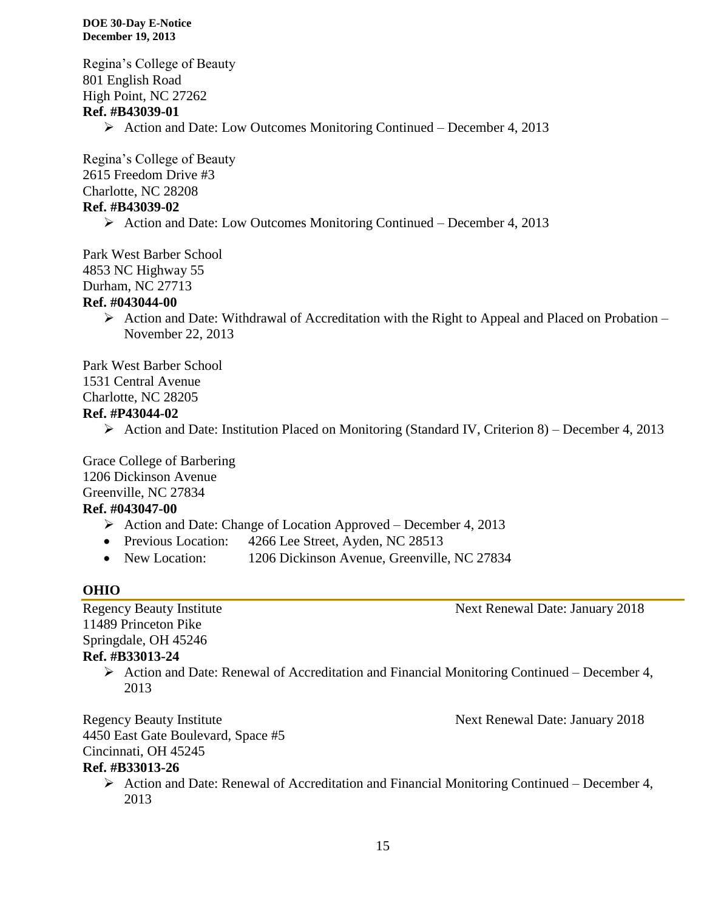Regina's College of Beauty 801 English Road High Point, NC 27262 **Ref. #B43039-01** Action and Date: Low Outcomes Monitoring Continued – December 4, 2013

Regina's College of Beauty 2615 Freedom Drive #3 Charlotte, NC 28208 **Ref. #B43039-02**

 $\triangleright$  Action and Date: Low Outcomes Monitoring Continued – December 4, 2013

Park West Barber School 4853 NC Highway 55 Durham, NC 27713

### **Ref. #043044-00**

 $\triangleright$  Action and Date: Withdrawal of Accreditation with the Right to Appeal and Placed on Probation – November 22, 2013

Park West Barber School

1531 Central Avenue

Charlotte, NC 28205

### **Ref. #P43044-02**

 $\triangleright$  Action and Date: Institution Placed on Monitoring (Standard IV, Criterion 8) – December 4, 2013

Grace College of Barbering 1206 Dickinson Avenue Greenville, NC 27834

### **Ref. #043047-00**

- $\triangleright$  Action and Date: Change of Location Approved December 4, 2013
- Previous Location: 4266 Lee Street, Ayden, NC 28513
- New Location: 1206 Dickinson Avenue, Greenville, NC 27834

### **OHIO**

11489 Princeton Pike Springdale, OH 45246 **Ref. #B33013-24**

> $\triangleright$  Action and Date: Renewal of Accreditation and Financial Monitoring Continued – December 4, 2013

Regency Beauty Institute Next Renewal Date: January 2018 4450 East Gate Boulevard, Space #5 Cincinnati, OH 45245

### **Ref. #B33013-26**

 $\triangleright$  Action and Date: Renewal of Accreditation and Financial Monitoring Continued – December 4, 2013

Regency Beauty Institute Next Renewal Date: January 2018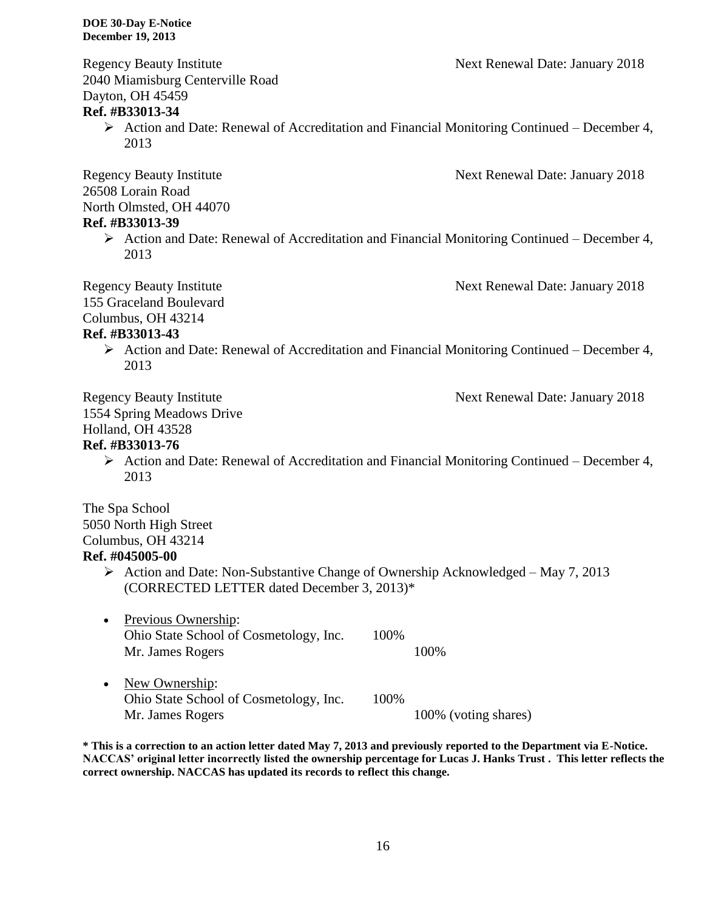Regency Beauty Institute **Next Renewal Date: January 2018** 2040 Miamisburg Centerville Road Dayton, OH 45459

### **Ref. #B33013-34**

 $\triangleright$  Action and Date: Renewal of Accreditation and Financial Monitoring Continued – December 4, 2013

Regency Beauty Institute Next Renewal Date: January 2018 26508 Lorain Road North Olmsted, OH 44070

### **Ref. #B33013-39**

 $\triangleright$  Action and Date: Renewal of Accreditation and Financial Monitoring Continued – December 4, 2013

155 Graceland Boulevard

Regency Beauty Institute Next Renewal Date: January 2018

Columbus, OH 43214

### **Ref. #B33013-43**

 $\triangleright$  Action and Date: Renewal of Accreditation and Financial Monitoring Continued – December 4, 2013

Regency Beauty Institute Next Renewal Date: January 2018 1554 Spring Meadows Drive Holland, OH 43528

### **Ref. #B33013-76**

 $\triangleright$  Action and Date: Renewal of Accreditation and Financial Monitoring Continued – December 4, 2013

The Spa School 5050 North High Street Columbus, OH 43214 **Ref. #045005-00**

- Action and Date: Non-Substantive Change of Ownership Acknowledged May 7, 2013 (CORRECTED LETTER dated December 3, 2013)\*
- Previous Ownership: Ohio State School of Cosmetology, Inc. 100% Mr. James Rogers 100%
- New Ownership: Ohio State School of Cosmetology, Inc. 100% Mr. James Rogers 100% (voting shares)

**\* This is a correction to an action letter dated May 7, 2013 and previously reported to the Department via E-Notice. NACCAS' original letter incorrectly listed the ownership percentage for Lucas J. Hanks Trust . This letter reflects the correct ownership. NACCAS has updated its records to reflect this change.**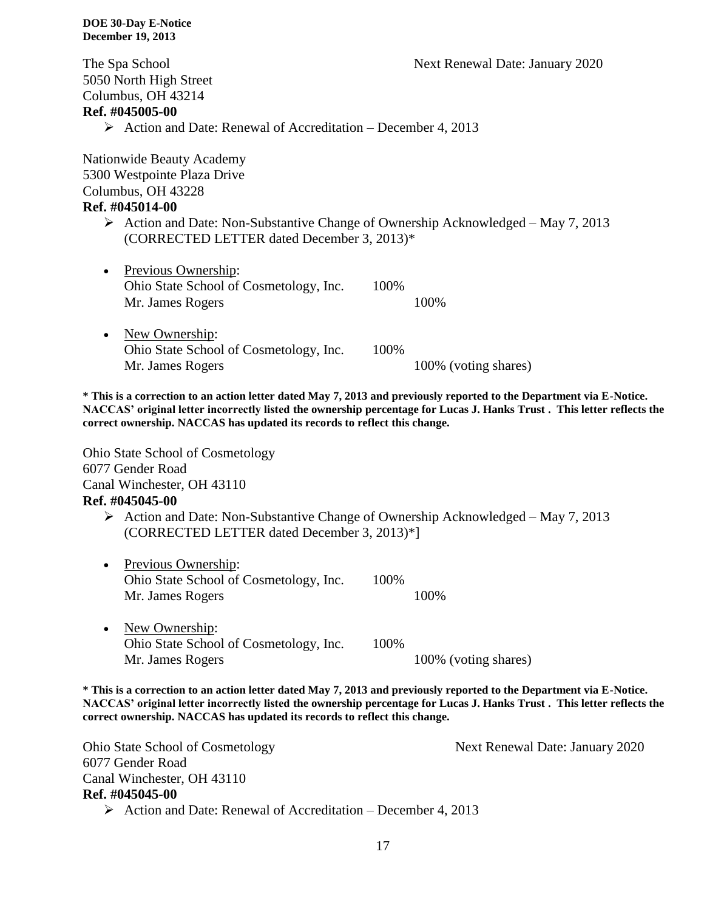The Spa School Next Renewal Date: January 2020

5050 North High Street Columbus, OH 43214

### **Ref. #045005-00**

 $\triangleright$  Action and Date: Renewal of Accreditation – December 4, 2013

Nationwide Beauty Academy 5300 Westpointe Plaza Drive Columbus, OH 43228 **Ref. #045014-00**

> Action and Date: Non-Substantive Change of Ownership Acknowledged – May 7, 2013 (CORRECTED LETTER dated December 3, 2013)\*

| $\bullet$ | Previous Ownership:                    |       |                      |
|-----------|----------------------------------------|-------|----------------------|
|           | Ohio State School of Cosmetology, Inc. | 100\% |                      |
|           | Mr. James Rogers                       |       | 100%                 |
| $\bullet$ | New Ownership:                         |       |                      |
|           | Ohio State School of Cosmetology, Inc. | 100%  |                      |
|           | Mr. James Rogers                       |       | 100% (voting shares) |

**\* This is a correction to an action letter dated May 7, 2013 and previously reported to the Department via E-Notice. NACCAS' original letter incorrectly listed the ownership percentage for Lucas J. Hanks Trust . This letter reflects the correct ownership. NACCAS has updated its records to reflect this change.** 

Ohio State School of Cosmetology 6077 Gender Road Canal Winchester, OH 43110

# **Ref. #045045-00**

- $\triangleright$  Action and Date: Non-Substantive Change of Ownership Acknowledged May 7, 2013 (CORRECTED LETTER dated December 3, 2013)\*]
- Previous Ownership: Ohio State School of Cosmetology, Inc. 100% Mr. James Rogers 100%
- New Ownership: Ohio State School of Cosmetology, Inc. 100% Mr. James Rogers 100% (voting shares)

**\* This is a correction to an action letter dated May 7, 2013 and previously reported to the Department via E-Notice. NACCAS' original letter incorrectly listed the ownership percentage for Lucas J. Hanks Trust . This letter reflects the correct ownership. NACCAS has updated its records to reflect this change.** 

Ohio State School of Cosmetology Next Renewal Date: January 2020 6077 Gender Road Canal Winchester, OH 43110 **Ref. #045045-00**

 $\triangleright$  Action and Date: Renewal of Accreditation – December 4, 2013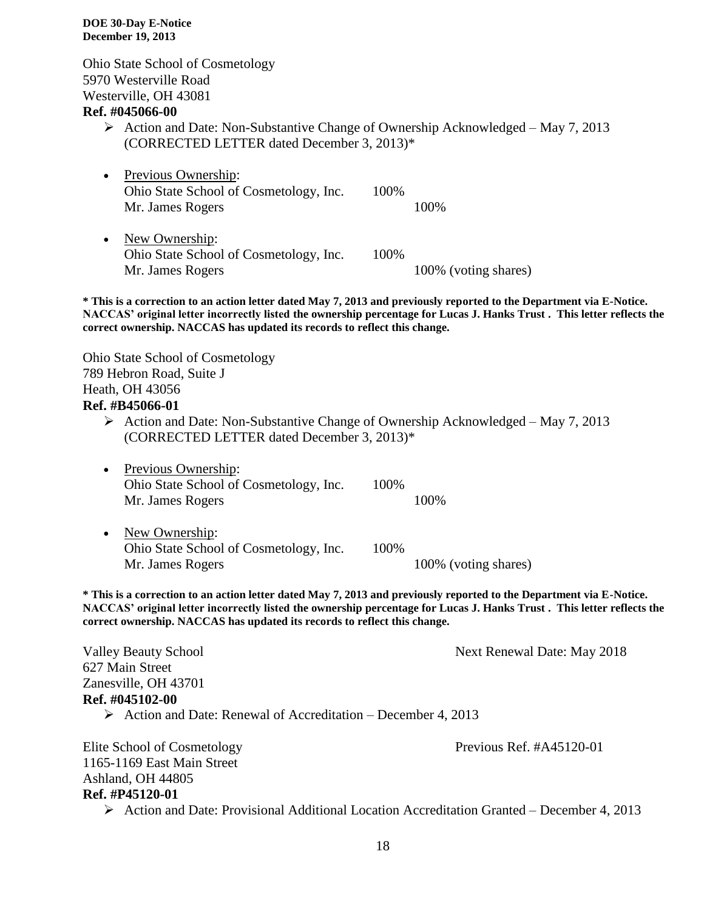Ohio State School of Cosmetology 5970 Westerville Road Westerville, OH 43081

### **Ref. #045066-00**

- Action and Date: Non-Substantive Change of Ownership Acknowledged May 7, 2013 (CORRECTED LETTER dated December 3, 2013)\*
- Previous Ownership: Ohio State School of Cosmetology, Inc. 100% Mr. James Rogers 100% • New Ownership: Ohio State School of Cosmetology, Inc. 100%

Mr. James Rogers 100% (voting shares)

**\* This is a correction to an action letter dated May 7, 2013 and previously reported to the Department via E-Notice. NACCAS' original letter incorrectly listed the ownership percentage for Lucas J. Hanks Trust . This letter reflects the correct ownership. NACCAS has updated its records to reflect this change.** 

Ohio State School of Cosmetology 789 Hebron Road, Suite J Heath, OH 43056

### **Ref. #B45066-01**

- $\triangleright$  Action and Date: Non-Substantive Change of Ownership Acknowledged May 7, 2013 (CORRECTED LETTER dated December 3, 2013)\*
- Previous Ownership: Ohio State School of Cosmetology, Inc. 100% Mr. James Rogers 100%
- New Ownership: Ohio State School of Cosmetology, Inc. 100% Mr. James Rogers 100% (voting shares)

**\* This is a correction to an action letter dated May 7, 2013 and previously reported to the Department via E-Notice. NACCAS' original letter incorrectly listed the ownership percentage for Lucas J. Hanks Trust . This letter reflects the correct ownership. NACCAS has updated its records to reflect this change.** 

Valley Beauty School Next Renewal Date: May 2018 627 Main Street Zanesville, OH 43701 **Ref. #045102-00**  $\triangleright$  Action and Date: Renewal of Accreditation – December 4, 2013

Elite School of Cosmetology Previous Ref. #A45120-01 1165-1169 East Main Street Ashland, OH 44805 **Ref. #P45120-01**

Action and Date: Provisional Additional Location Accreditation Granted – December 4, 2013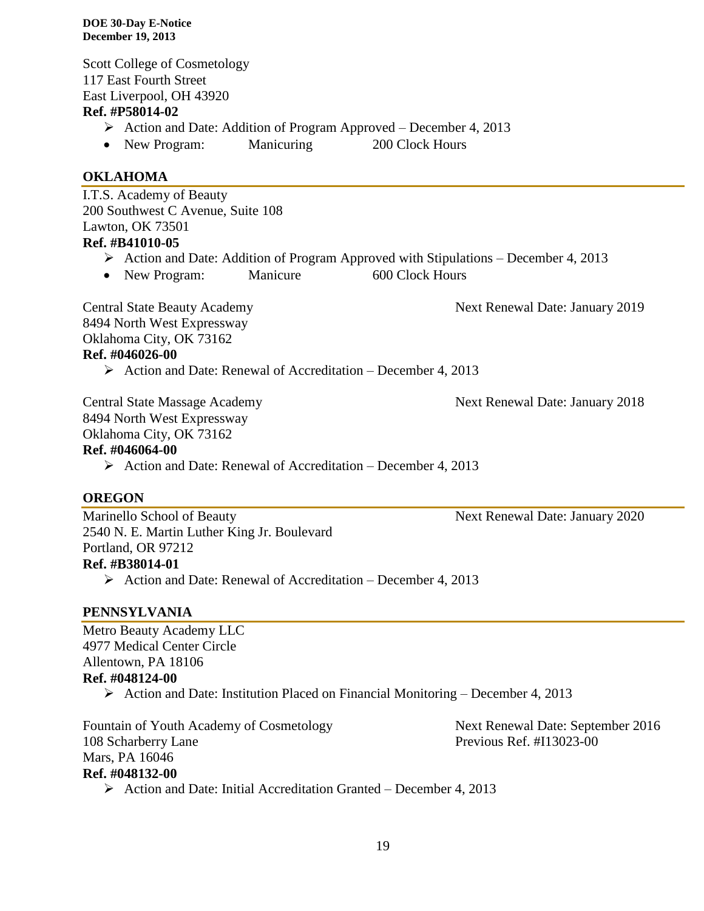Scott College of Cosmetology 117 East Fourth Street East Liverpool, OH 43920

### **Ref. #P58014-02**

- Action and Date: Addition of Program Approved December 4, 2013
- New Program: Manicuring 200 Clock Hours

### **OKLAHOMA**

I.T.S. Academy of Beauty 200 Southwest C Avenue, Suite 108 Lawton, OK 73501

## **Ref. #B41010-05**

- $\triangleright$  Action and Date: Addition of Program Approved with Stipulations December 4, 2013
- New Program: Manicure 600 Clock Hours

Central State Beauty Academy 1986 Next Renewal Date: January 2019

8494 North West Expressway Oklahoma City, OK 73162 **Ref. #046026-00**

 $\triangleright$  Action and Date: Renewal of Accreditation – December 4, 2013

Central State Massage Academy Next Renewal Date: January 2018 8494 North West Expressway Oklahoma City, OK 73162

### **Ref. #046064-00**

 $\triangleright$  Action and Date: Renewal of Accreditation – December 4, 2013

### **OREGON**

Marinello School of Beauty Next Renewal Date: January 2020 2540 N. E. Martin Luther King Jr. Boulevard Portland, OR 97212 **Ref. #B38014-01**

 $\triangleright$  Action and Date: Renewal of Accreditation – December 4, 2013

### **PENNSYLVANIA**

Metro Beauty Academy LLC 4977 Medical Center Circle Allentown, PA 18106 **Ref. #048124-00**

Action and Date: Institution Placed on Financial Monitoring – December 4, 2013

Fountain of Youth Academy of Cosmetology Next Renewal Date: September 2016 108 Scharberry Lane Previous Ref. #I13023-00 Mars, PA 16046 **Ref. #048132-00**

 $\triangleright$  Action and Date: Initial Accreditation Granted – December 4, 2013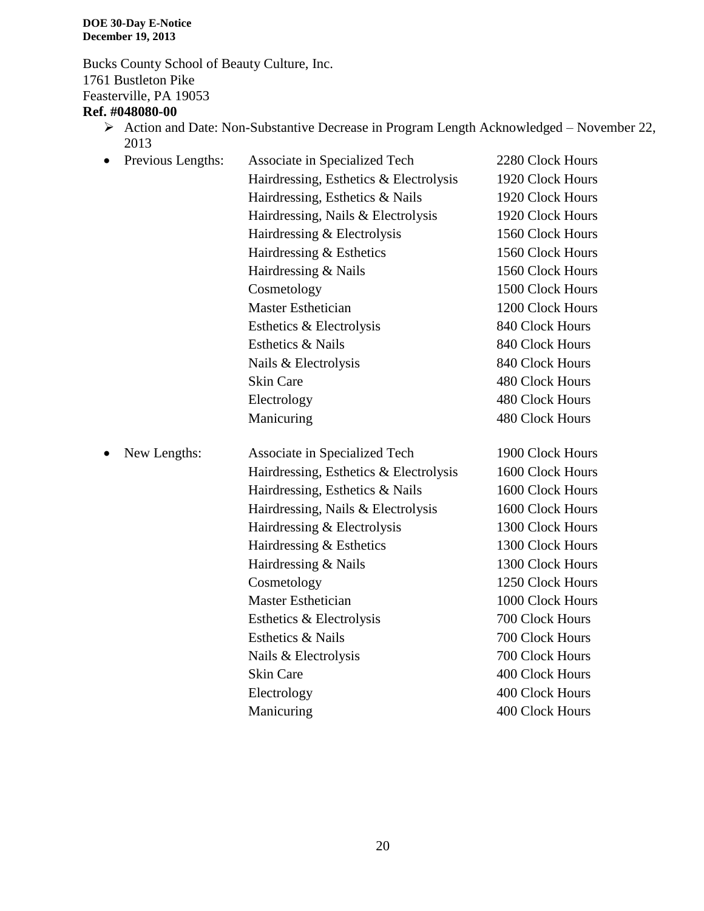Bucks County School of Beauty Culture, Inc. 1761 Bustleton Pike Feasterville, PA 19053

## **Ref. #048080-00**

Action and Date: Non-Substantive Decrease in Program Length Acknowledged – November 22, 2013 Previous Lengths: Associate in Specialized Tech 2280 Clock Hours

| Previous Lengths: | Associate in Specialized Tech          | 2280 Clock Hours |
|-------------------|----------------------------------------|------------------|
|                   | Hairdressing, Esthetics & Electrolysis | 1920 Clock Hours |
|                   | Hairdressing, Esthetics & Nails        | 1920 Clock Hours |
|                   | Hairdressing, Nails & Electrolysis     | 1920 Clock Hours |
|                   | Hairdressing & Electrolysis            | 1560 Clock Hours |
|                   | Hairdressing & Esthetics               | 1560 Clock Hours |
|                   | Hairdressing & Nails                   | 1560 Clock Hours |
|                   | Cosmetology                            | 1500 Clock Hours |
|                   | <b>Master Esthetician</b>              | 1200 Clock Hours |
|                   | Esthetics & Electrolysis               | 840 Clock Hours  |
|                   | Esthetics & Nails                      | 840 Clock Hours  |
|                   | Nails & Electrolysis                   | 840 Clock Hours  |
|                   | <b>Skin Care</b>                       | 480 Clock Hours  |
|                   | Electrology                            | 480 Clock Hours  |
|                   | Manicuring                             | 480 Clock Hours  |
| New Lengths:      | Associate in Specialized Tech          | 1900 Clock Hours |
|                   | Hairdressing, Esthetics & Electrolysis | 1600 Clock Hours |
|                   | Hairdressing, Esthetics & Nails        | 1600 Clock Hours |
|                   | Hairdressing, Nails & Electrolysis     | 1600 Clock Hours |
|                   | Hairdressing & Electrolysis            | 1300 Clock Hours |
|                   | Hairdressing & Esthetics               | 1300 Clock Hours |
|                   | Hairdressing & Nails                   | 1300 Clock Hours |
|                   | Cosmetology                            | 1250 Clock Hours |
|                   | <b>Master Esthetician</b>              | 1000 Clock Hours |
|                   | Esthetics & Electrolysis               | 700 Clock Hours  |
|                   | Esthetics & Nails                      | 700 Clock Hours  |
|                   | Nails & Electrolysis                   | 700 Clock Hours  |
|                   | <b>Skin Care</b>                       | 400 Clock Hours  |
|                   | Electrology                            | 400 Clock Hours  |
|                   | Manicuring                             | 400 Clock Hours  |
|                   |                                        |                  |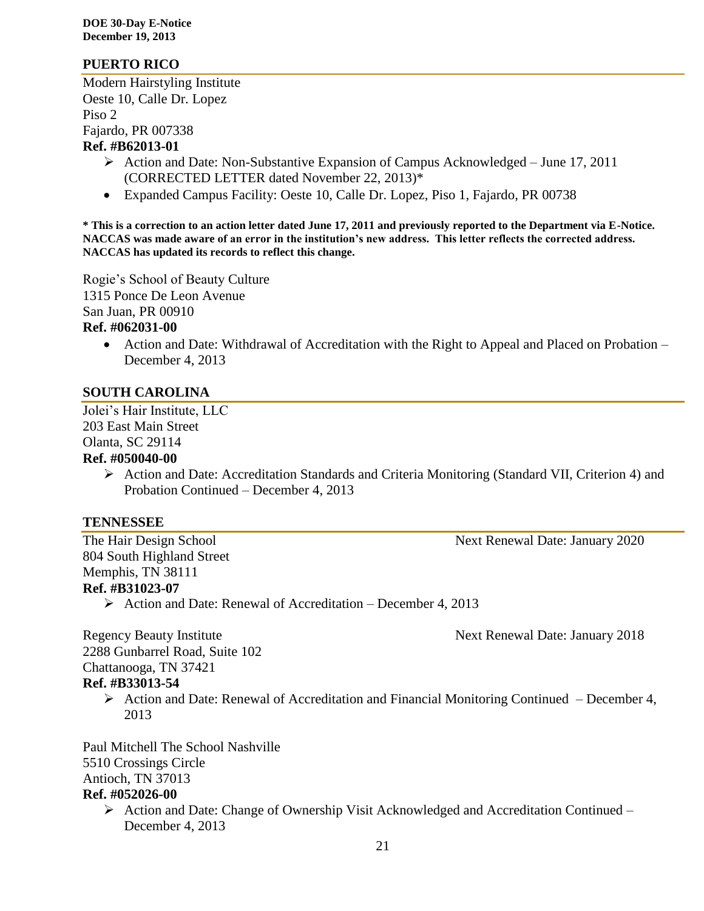### **PUERTO RICO**

Modern Hairstyling Institute Oeste 10, Calle Dr. Lopez Piso 2 Fajardo, PR 007338 **Ref. #B62013-01**

- $\triangleright$  Action and Date: Non-Substantive Expansion of Campus Acknowledged June 17, 2011 (CORRECTED LETTER dated November 22, 2013)\*
- Expanded Campus Facility: Oeste 10, Calle Dr. Lopez, Piso 1, Fajardo, PR 00738

**\* This is a correction to an action letter dated June 17, 2011 and previously reported to the Department via E-Notice. NACCAS was made aware of an error in the institution's new address. This letter reflects the corrected address. NACCAS has updated its records to reflect this change.**

Rogie's School of Beauty Culture 1315 Ponce De Leon Avenue San Juan, PR 00910

### **Ref. #062031-00**

• Action and Date: Withdrawal of Accreditation with the Right to Appeal and Placed on Probation – December 4, 2013

### **SOUTH CAROLINA**

Jolei's Hair Institute, LLC 203 East Main Street Olanta, SC 29114 **Ref. #050040-00**

> Action and Date: Accreditation Standards and Criteria Monitoring (Standard VII, Criterion 4) and Probation Continued – December 4, 2013

### **TENNESSEE**

The Hair Design School and The Hair Design School and The Hair Design School and The Hair Design School and The Next Renewal Date: January 2020

804 South Highland Street Memphis, TN 38111 **Ref. #B31023-07**

 $\triangleright$  Action and Date: Renewal of Accreditation – December 4, 2013

Regency Beauty Institute Next Renewal Date: January 2018

2288 Gunbarrel Road, Suite 102 Chattanooga, TN 37421 **Ref. #B33013-54**

> Action and Date: Renewal of Accreditation and Financial Monitoring Continued – December 4, 2013

Paul Mitchell The School Nashville 5510 Crossings Circle Antioch, TN 37013 **Ref. #052026-00**

 Action and Date: Change of Ownership Visit Acknowledged and Accreditation Continued – December 4, 2013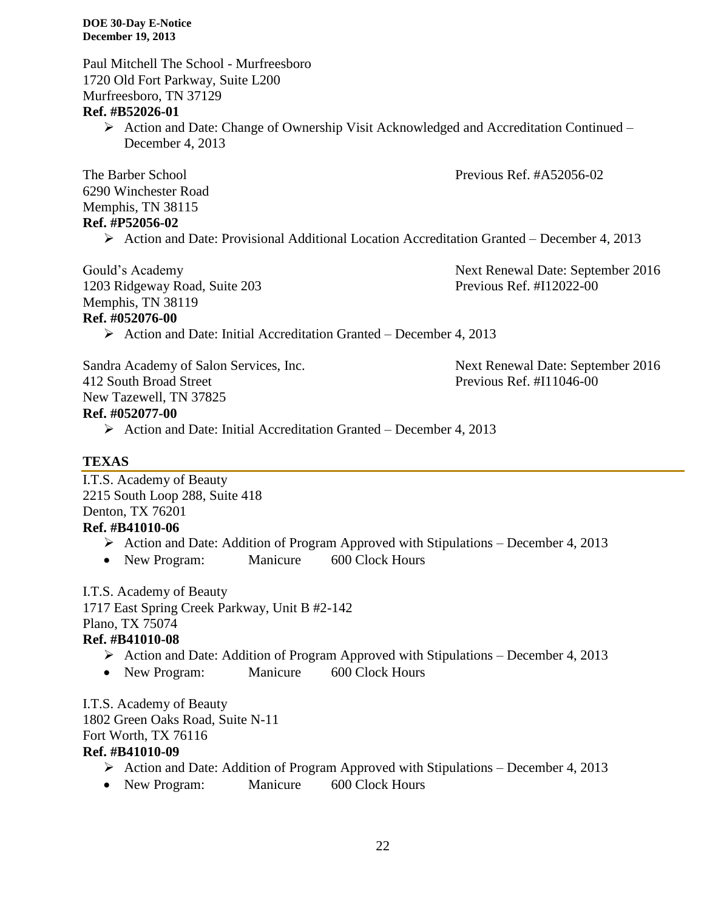Paul Mitchell The School - Murfreesboro 1720 Old Fort Parkway, Suite L200 Murfreesboro, TN 37129

### **Ref. #B52026-01**

 Action and Date: Change of Ownership Visit Acknowledged and Accreditation Continued – December 4, 2013

The Barber School **Previous Ref. #A52056-02** 6290 Winchester Road Memphis, TN 38115

### **Ref. #P52056-02**

Action and Date: Provisional Additional Location Accreditation Granted – December 4, 2013

1203 Ridgeway Road, Suite 203 Previous Ref. #I12022-00 Memphis, TN 38119 **Ref. #052076-00**

Gould's Academy **Next Renewal Date: September 2016** 

 $\triangleright$  Action and Date: Initial Accreditation Granted – December 4, 2013

Sandra Academy of Salon Services, Inc. Next Renewal Date: September 2016 412 South Broad Street Previous Ref. #I11046-00 New Tazewell, TN 37825

### **Ref. #052077-00**

 $\triangleright$  Action and Date: Initial Accreditation Granted – December 4, 2013

### **TEXAS**

I.T.S. Academy of Beauty 2215 South Loop 288, Suite 418 Denton, TX 76201 **Ref. #B41010-06**

- $\triangleright$  Action and Date: Addition of Program Approved with Stipulations December 4, 2013
- New Program: Manicure 600 Clock Hours

I.T.S. Academy of Beauty 1717 East Spring Creek Parkway, Unit B #2-142 Plano, TX 75074 **Ref. #B41010-08**

- $\triangleright$  Action and Date: Addition of Program Approved with Stipulations December 4, 2013
- New Program: Manicure 600 Clock Hours

I.T.S. Academy of Beauty 1802 Green Oaks Road, Suite N-11 Fort Worth, TX 76116 **Ref. #B41010-09**

- $\triangleright$  Action and Date: Addition of Program Approved with Stipulations December 4, 2013
- New Program: Manicure 600 Clock Hours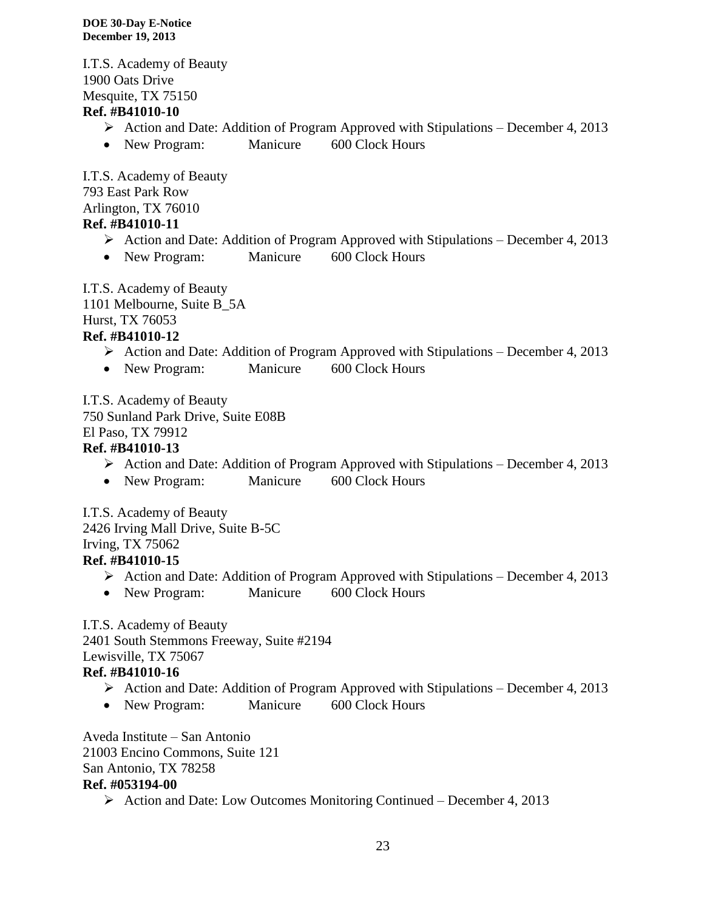I.T.S. Academy of Beauty 1900 Oats Drive Mesquite, TX 75150

### **Ref. #B41010-10**

- Action and Date: Addition of Program Approved with Stipulations December 4, 2013
- New Program: Manicure 600 Clock Hours

I.T.S. Academy of Beauty 793 East Park Row Arlington, TX 76010 **Ref. #B41010-11**

- $\triangleright$  Action and Date: Addition of Program Approved with Stipulations December 4, 2013
- New Program: Manicure 600 Clock Hours

I.T.S. Academy of Beauty 1101 Melbourne, Suite B\_5A Hurst, TX 76053 **Ref. #B41010-12**

- $\triangleright$  Action and Date: Addition of Program Approved with Stipulations December 4, 2013
- New Program: Manicure 600 Clock Hours

I.T.S. Academy of Beauty 750 Sunland Park Drive, Suite E08B

# El Paso, TX 79912

## **Ref. #B41010-13**

- $\triangleright$  Action and Date: Addition of Program Approved with Stipulations December 4, 2013
- New Program: Manicure 600 Clock Hours

I.T.S. Academy of Beauty 2426 Irving Mall Drive, Suite B-5C Irving, TX 75062 **Ref. #B41010-15**

- Action and Date: Addition of Program Approved with Stipulations December 4, 2013
- New Program: Manicure 600 Clock Hours

I.T.S. Academy of Beauty

2401 South Stemmons Freeway, Suite #2194

Lewisville, TX 75067

### **Ref. #B41010-16**

- $\triangleright$  Action and Date: Addition of Program Approved with Stipulations December 4, 2013
- New Program: Manicure 600 Clock Hours

Aveda Institute – San Antonio 21003 Encino Commons, Suite 121 San Antonio, TX 78258 **Ref. #053194-00**

 $\triangleright$  Action and Date: Low Outcomes Monitoring Continued – December 4, 2013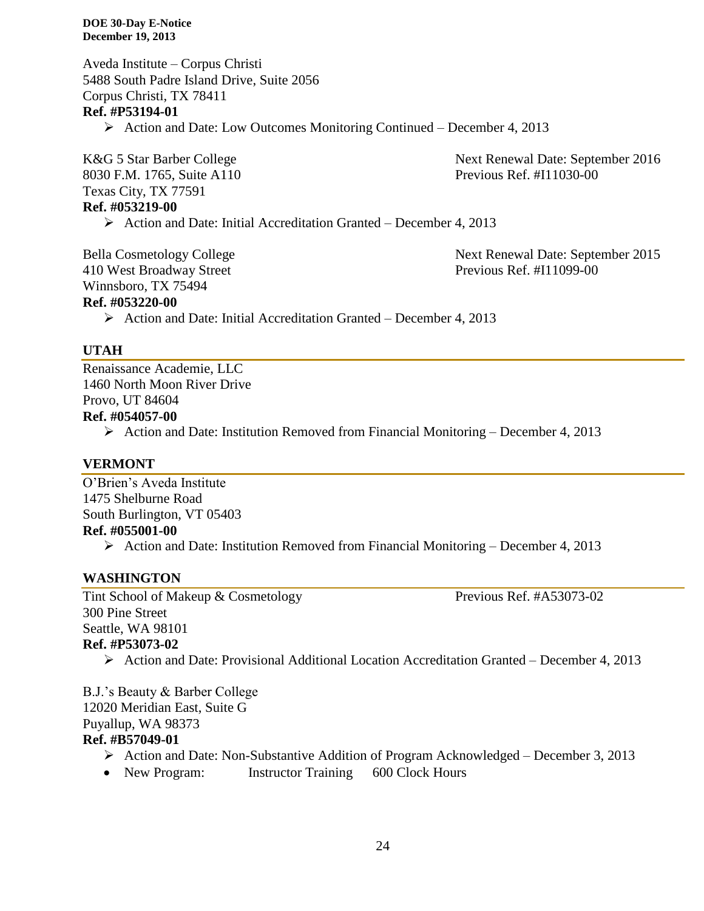Aveda Institute – Corpus Christi 5488 South Padre Island Drive, Suite 2056 Corpus Christi, TX 78411 **Ref. #P53194-01** Action and Date: Low Outcomes Monitoring Continued – December 4, 2013

8030 F.M. 1765, Suite A110 Previous Ref. #I11030-00 Texas City, TX 77591 **Ref. #053219-00**

K&G 5 Star Barber College Next Renewal Date: September 2016

 $\triangleright$  Action and Date: Initial Accreditation Granted – December 4, 2013

410 West Broadway Street Previous Ref. #I11099-00 Winnsboro, TX 75494

Bella Cosmetology College Next Renewal Date: September 2015

### **Ref. #053220-00**

 $\triangleright$  Action and Date: Initial Accreditation Granted – December 4, 2013

### **UTAH**

Renaissance Academie, LLC 1460 North Moon River Drive Provo, UT 84604

### **Ref. #054057-00**

Action and Date: Institution Removed from Financial Monitoring – December 4, 2013

### **VERMONT**

O'Brien's Aveda Institute 1475 Shelburne Road South Burlington, VT 05403 **Ref. #055001-00** Action and Date: Institution Removed from Financial Monitoring – December 4, 2013

### **WASHINGTON**

Tint School of Makeup & Cosmetology Previous Ref. #A53073-02 300 Pine Street Seattle, WA 98101

### **Ref. #P53073-02**

Action and Date: Provisional Additional Location Accreditation Granted – December 4, 2013

B.J.'s Beauty & Barber College 12020 Meridian East, Suite G Puyallup, WA 98373 **Ref. #B57049-01**

- $\triangleright$  Action and Date: Non-Substantive Addition of Program Acknowledged December 3, 2013
- New Program: Instructor Training 600 Clock Hours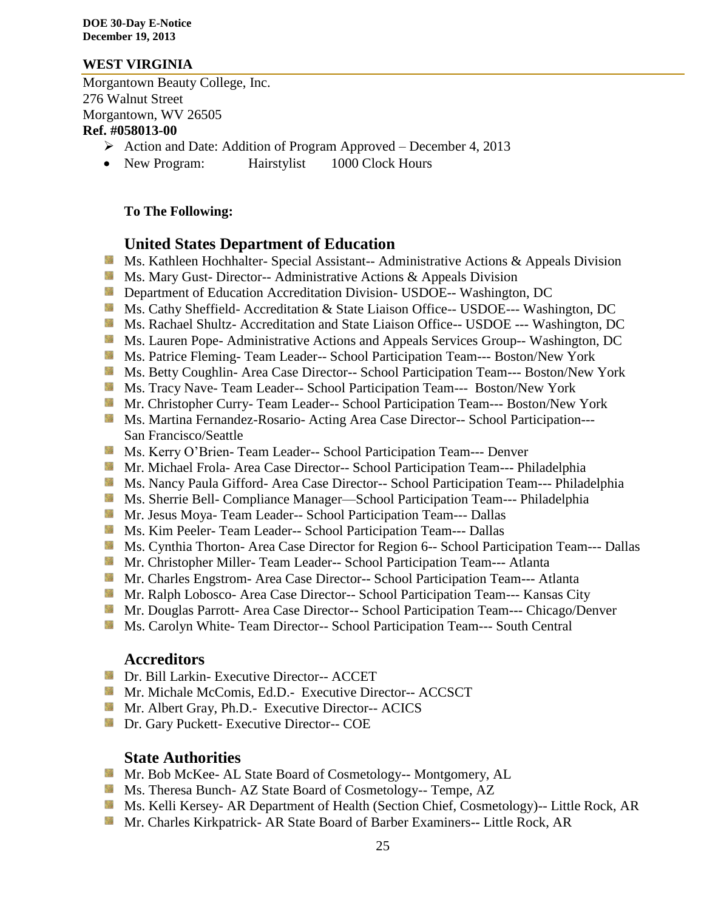### **WEST VIRGINIA**

Morgantown Beauty College, Inc. 276 Walnut Street Morgantown, WV 26505 **Ref. #058013-00**

- $\triangleright$  Action and Date: Addition of Program Approved December 4, 2013
- New Program: Hairstylist 1000 Clock Hours

### **To The Following:**

### **United States Department of Education**

- **Ms. Kathleen Hochhalter- Special Assistant-- Administrative Actions & Appeals Division**
- **Ms.** Mary Gust- Director-- Administrative Actions  $\&$  Appeals Division
- **Department of Education Accreditation Division- USDOE-- Washington, DC**
- Ms. Cathy Sheffield- Accreditation & State Liaison Office-- USDOE--- Washington, DC
- Ms. Rachael Shultz- Accreditation and State Liaison Office-- USDOE --- Washington, DC
- Ms. Lauren Pope- Administrative Actions and Appeals Services Group-- Washington, DC
- Ms. Patrice Fleming-Team Leader-- School Participation Team--- Boston/New York
- **MS. Betty Coughlin- Area Case Director-- School Participation Team--- Boston/New York**
- Ms. Tracy Nave- Team Leader-- School Participation Team--- Boston/New York
- **Mr. Christopher Curry- Team Leader-- School Participation Team--- Boston/New York**
- Ms. Martina Fernandez-Rosario- Acting Area Case Director-- School Participation---San Francisco/Seattle
- **Ms. Kerry O'Brien- Team Leader-- School Participation Team--- Denver**
- **Mr. Michael Frola- Area Case Director-- School Participation Team--- Philadelphia**
- **Ms. Nancy Paula Gifford- Area Case Director-- School Participation Team--- Philadelphia**
- **MS.** Sherrie Bell- Compliance Manager—School Participation Team--- Philadelphia
- Mr. Jesus Moya- Team Leader-- School Participation Team--- Dallas
- **Ms. Kim Peeler- Team Leader-- School Participation Team--- Dallas**
- Ms. Cynthia Thorton- Area Case Director for Region 6-- School Participation Team--- Dallas
- **Mr.** Christopher Miller-Team Leader-- School Participation Team--- Atlanta
- **Mr. Charles Engstrom- Area Case Director-- School Participation Team--- Atlanta**
- Mr. Ralph Lobosco- Area Case Director-- School Participation Team--- Kansas City
- **Mr. Douglas Parrott- Area Case Director-- School Participation Team--- Chicago/Denver**
- **MS. Carolyn White-Team Director-- School Participation Team--- South Central**

### **Accreditors**

- **Dr. Bill Larkin- Executive Director-- ACCET**
- Mr. Michale McComis, Ed.D.- Executive Director-- ACCSCT
- **Mr.** Albert Gray, Ph.D.- Executive Director-- ACICS
- **Dr.** Gary Puckett- Executive Director-- COE

### **State Authorities**

- Mr. Bob McKee- AL State Board of Cosmetology-- Montgomery, AL
- Ms. Theresa Bunch- AZ State Board of Cosmetology-- Tempe, AZ
- Ms. Kelli Kersey- AR Department of Health (Section Chief, Cosmetology)-- Little Rock, AR
- Mr. Charles Kirkpatrick- AR State Board of Barber Examiners-- Little Rock, AR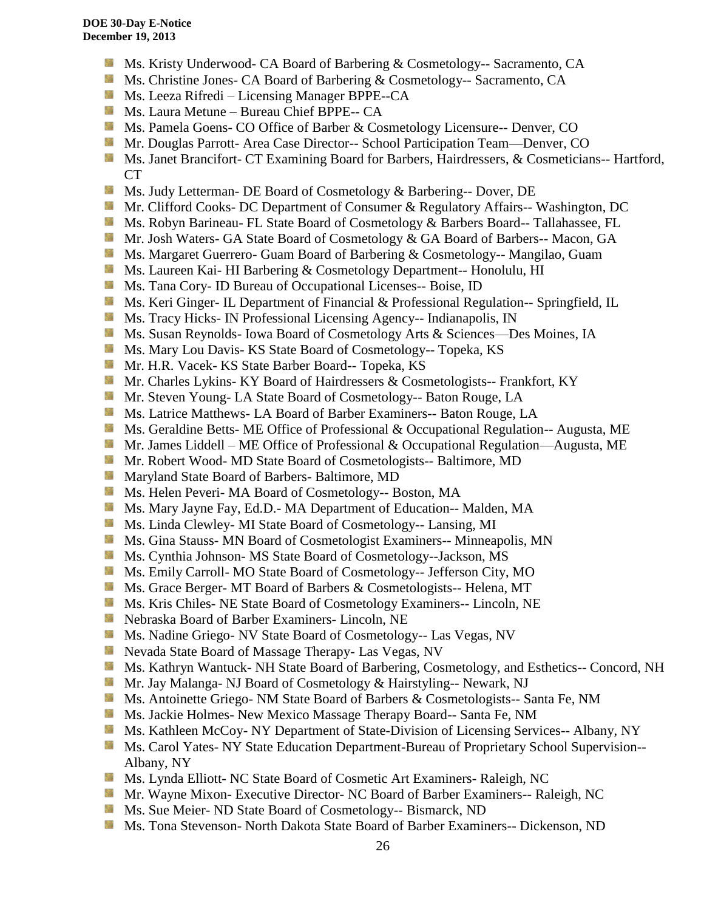- Ms. Kristy Underwood- CA Board of Barbering & Cosmetology-- Sacramento, CA
- Ms. Christine Jones- CA Board of Barbering & Cosmetology-- Sacramento, CA
- **Ms. Leeza Rifredi** Licensing Manager BPPE--CA
- **Ms. Laura Metune Bureau Chief BPPE-- CA**
- **Ms. Pamela Goens- CO Office of Barber & Cosmetology Licensure-- Denver, CO**
- **Mr. Douglas Parrott- Area Case Director-- School Participation Team—Denver, CO**
- **Ms. Janet Brancifort- CT Examining Board for Barbers, Hairdressers, & Cosmeticians-- Hartford,** CT
- SS. Ms. Judy Letterman- DE Board of Cosmetology & Barbering-- Dover, DE
- Mr. Clifford Cooks- DC Department of Consumer & Regulatory Affairs-- Washington, DC
- Ms. Robyn Barineau- FL State Board of Cosmetology & Barbers Board-- Tallahassee, FL
- **Mr. Josh Waters- GA State Board of Cosmetology & GA Board of Barbers-- Macon, GA**
- Ms. Margaret Guerrero- Guam Board of Barbering & Cosmetology-- Mangilao, Guam
- Ms. Laureen Kai- HI Barbering & Cosmetology Department-- Honolulu, HI
- **Ms.** Tana Cory- ID Bureau of Occupational Licenses-- Boise, ID
- **Ms. Keri Ginger- IL Department of Financial & Professional Regulation-- Springfield, IL**
- **Ms.** Tracy Hicks- IN Professional Licensing Agency-- Indianapolis, IN
- Ms. Susan Reynolds- Iowa Board of Cosmetology Arts & Sciences—Des Moines, IA
- **Ms. Mary Lou Davis- KS State Board of Cosmetology-- Topeka, KS**
- Mr. H.R. Vacek- KS State Barber Board-- Topeka, KS
- Mr. Charles Lykins- KY Board of Hairdressers & Cosmetologists-- Frankfort, KY
- **Mr.** Steven Young-LA State Board of Cosmetology-- Baton Rouge, LA
- **Ms. Latrice Matthews- LA Board of Barber Examiners-- Baton Rouge, LA**
- **Ms. Geraldine Betts- ME Office of Professional & Occupational Regulation-- Augusta, ME**
- Mr. James Liddell ME Office of Professional & Occupational Regulation—Augusta, ME
- **Mr. Robert Wood- MD State Board of Cosmetologists-- Baltimore, MD**
- **Maryland State Board of Barbers- Baltimore, MD**
- **MS.** Helen Peveri- MA Board of Cosmetology-- Boston, MA
- Ms. Mary Jayne Fay, Ed.D.- MA Department of Education-- Malden, MA
- Ms. Linda Clewley- MI State Board of Cosmetology-- Lansing, MI
- **MS.** Gina Stauss- MN Board of Cosmetologist Examiners-- Minneapolis, MN
- Ms. Cynthia Johnson- MS State Board of Cosmetology--Jackson, MS
- Ms. Emily Carroll- MO State Board of Cosmetology-- Jefferson City, MO
- **Ms.** Grace Berger- MT Board of Barbers & Cosmetologists-- Helena, MT
- **MS.** Kris Chiles- NE State Board of Cosmetology Examiners-- Lincoln, NE
- Nebraska Board of Barber Examiners- Lincoln, NE
- **Ms.** Nadine Griego- NV State Board of Cosmetology-- Las Vegas, NV
- **Nevada State Board of Massage Therapy- Las Vegas, NV**
- **Ms. Kathryn Wantuck- NH State Board of Barbering, Cosmetology, and Esthetics-- Concord, NH**
- Mr. Jay Malanga- NJ Board of Cosmetology & Hairstyling-- Newark, NJ
- **MS.** Antoinette Griego- NM State Board of Barbers & Cosmetologists-- Santa Fe, NM
- Ms. Jackie Holmes- New Mexico Massage Therapy Board-- Santa Fe, NM
- **Ms. Kathleen McCoy- NY Department of State-Division of Licensing Services-- Albany, NY**
- **Ms. Carol Yates- NY State Education Department-Bureau of Proprietary School Supervision--**Albany, NY
- Ms. Lynda Elliott- NC State Board of Cosmetic Art Examiners- Raleigh, NC
- **Mr. Wayne Mixon- Executive Director- NC Board of Barber Examiners-- Raleigh, NC**
- **Ms. Sue Meier- ND State Board of Cosmetology-- Bismarck, ND**
- **Ms. Tona Stevenson- North Dakota State Board of Barber Examiners-- Dickenson, ND**